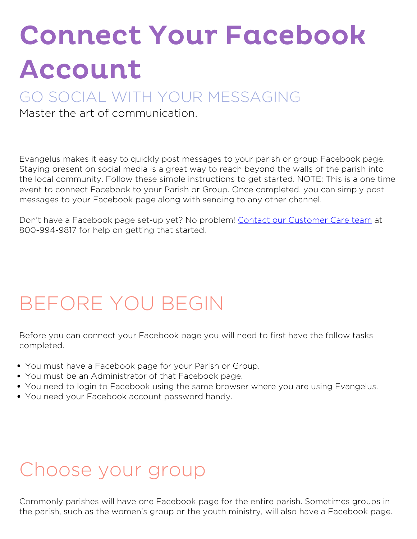# Connect Your Facebook Account

#### GO SOCIAL WITH YOUR MESSAGING

Master the art of communication.

Evangelus makes it easy to quickly post messages to your parish or group Facebook page. Staying present on social media is a great way to reach beyond the walls of the parish into the local community. Follow these simple instructions to get started. NOTE: This is a one time event to connect Facebook to your Parish or Group. Once completed, you can simply post messages to your Facebook page along with sending to any other channel.

Don't have a Facebook page set-up yet? No problem! [Contact our Customer Care team](https://diocesan.com/customer-care/) at 800-994-9817 for help on getting that started.

## **BEFORE YOU BEGIN**

Before you can connect your Facebook page you will need to first have the follow tasks completed.

- You must have a Facebook page for your Parish or Group.
- You must be an Administrator of that Facebook page.
- You need to login to Facebook using the same browser where you are using Evangelus.
- You need your Facebook account password handy.

#### **Choose your group**

Commonly parishes will have one Facebook page for the entire parish. Sometimes groups in the parish, such as the women's group or the youth ministry, will also have a Facebook page.